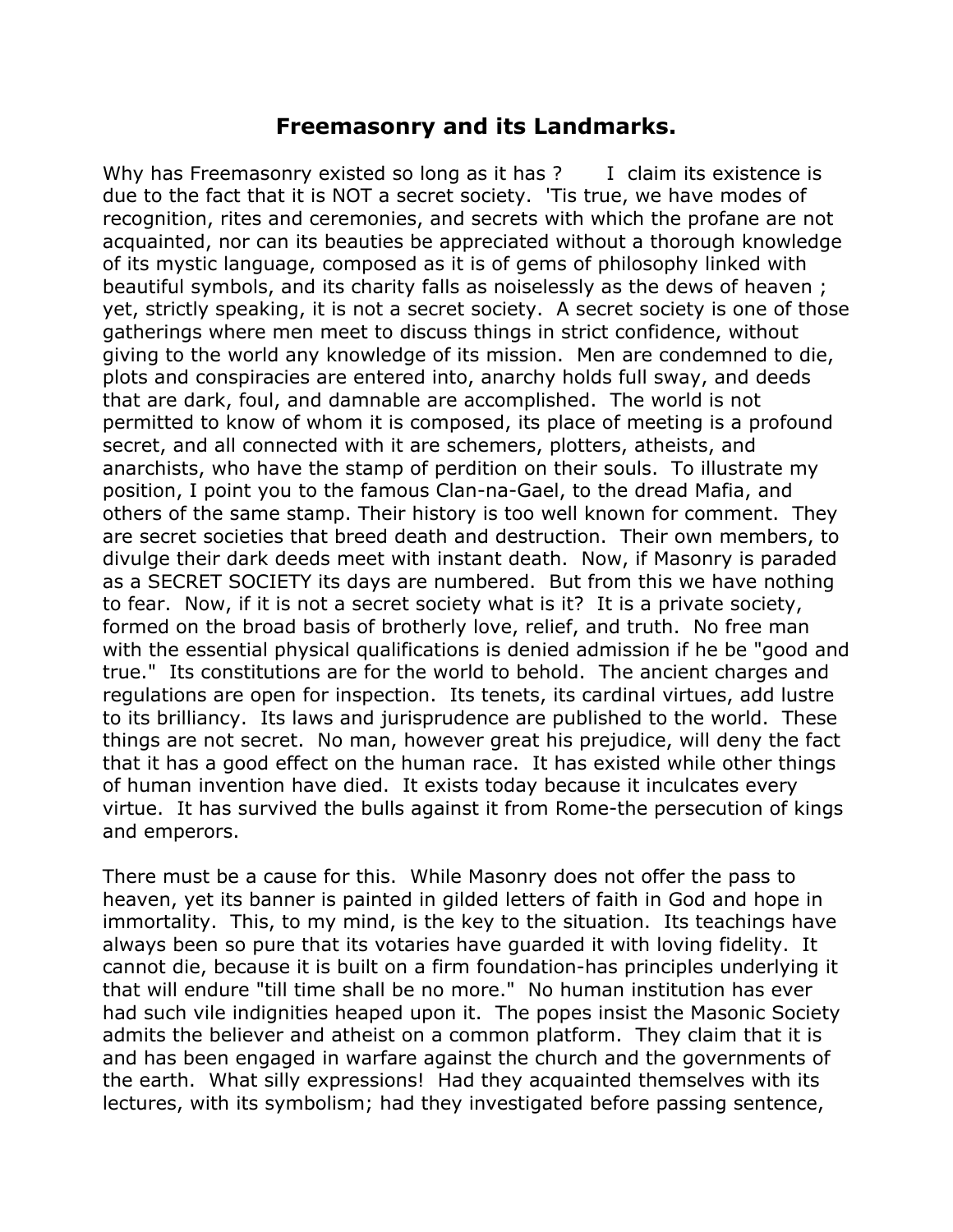## **Freemasonry and its Landmarks.**

Why has Freemasonry existed so long as it has  $?$  I claim its existence is due to the fact that it is NOT a secret society. 'Tis true, we have modes of recognition, rites and ceremonies, and secrets with which the profane are not acquainted, nor can its beauties be appreciated without a thorough knowledge of its mystic language, composed as it is of gems of philosophy linked with beautiful symbols, and its charity falls as noiselessly as the dews of heaven ; yet, strictly speaking, it is not a secret society. A secret society is one of those gatherings where men meet to discuss things in strict confidence, without giving to the world any knowledge of its mission. Men are condemned to die, plots and conspiracies are entered into, anarchy holds full sway, and deeds that are dark, foul, and damnable are accomplished. The world is not permitted to know of whom it is composed, its place of meeting is a profound secret, and all connected with it are schemers, plotters, atheists, and anarchists, who have the stamp of perdition on their souls. To illustrate my position, I point you to the famous Clan-na-Gael, to the dread Mafia, and others of the same stamp. Their history is too well known for comment. They are secret societies that breed death and destruction. Their own members, to divulge their dark deeds meet with instant death. Now, if Masonry is paraded as a SECRET SOCIETY its days are numbered. But from this we have nothing to fear. Now, if it is not a secret society what is it? It is a private society, formed on the broad basis of brotherly love, relief, and truth. No free man with the essential physical qualifications is denied admission if he be "good and true." Its constitutions are for the world to behold. The ancient charges and regulations are open for inspection. Its tenets, its cardinal virtues, add lustre to its brilliancy. Its laws and jurisprudence are published to the world. These things are not secret. No man, however great his prejudice, will deny the fact that it has a good effect on the human race. It has existed while other things of human invention have died. It exists today because it inculcates every virtue. It has survived the bulls against it from Rome-the persecution of kings and emperors.

There must be a cause for this. While Masonry does not offer the pass to heaven, yet its banner is painted in gilded letters of faith in God and hope in immortality. This, to my mind, is the key to the situation. Its teachings have always been so pure that its votaries have guarded it with loving fidelity. It cannot die, because it is built on a firm foundation-has principles underlying it that will endure "till time shall be no more." No human institution has ever had such vile indignities heaped upon it. The popes insist the Masonic Society admits the believer and atheist on a common platform. They claim that it is and has been engaged in warfare against the church and the governments of the earth. What silly expressions! Had they acquainted themselves with its lectures, with its symbolism; had they investigated before passing sentence,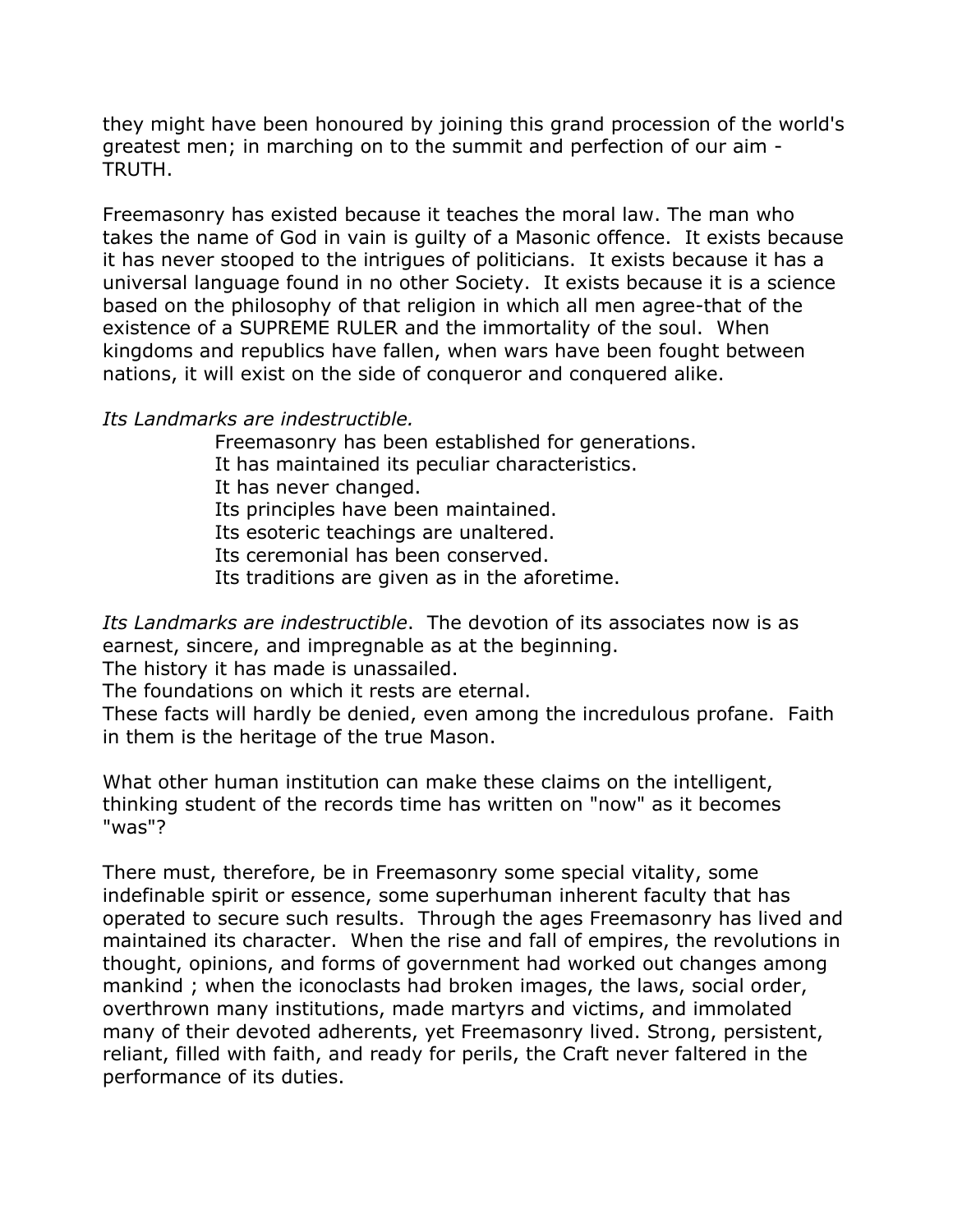they might have been honoured by joining this grand procession of the world's greatest men; in marching on to the summit and perfection of our aim - TRUTH.

Freemasonry has existed because it teaches the moral law. The man who takes the name of God in vain is guilty of a Masonic offence. It exists because it has never stooped to the intrigues of politicians. It exists because it has a universal language found in no other Society. It exists because it is a science based on the philosophy of that religion in which all men agree-that of the existence of a SUPREME RULER and the immortality of the soul. When kingdoms and republics have fallen, when wars have been fought between nations, it will exist on the side of conqueror and conquered alike.

*Its Landmarks are indestructible.* 

Freemasonry has been established for generations. It has maintained its peculiar characteristics. It has never changed. Its principles have been maintained. Its esoteric teachings are unaltered.

Its ceremonial has been conserved.

Its traditions are given as in the aforetime.

*Its Landmarks are indestructible*. The devotion of its associates now is as earnest, sincere, and impregnable as at the beginning.

The history it has made is unassailed.

The foundations on which it rests are eternal.

These facts will hardly be denied, even among the incredulous profane. Faith in them is the heritage of the true Mason.

What other human institution can make these claims on the intelligent, thinking student of the records time has written on "now" as it becomes "was"?

There must, therefore, be in Freemasonry some special vitality, some indefinable spirit or essence, some superhuman inherent faculty that has operated to secure such results. Through the ages Freemasonry has lived and maintained its character. When the rise and fall of empires, the revolutions in thought, opinions, and forms of government had worked out changes among mankind ; when the iconoclasts had broken images, the laws, social order, overthrown many institutions, made martyrs and victims, and immolated many of their devoted adherents, yet Freemasonry lived. Strong, persistent, reliant, filled with faith, and ready for perils, the Craft never faltered in the performance of its duties.